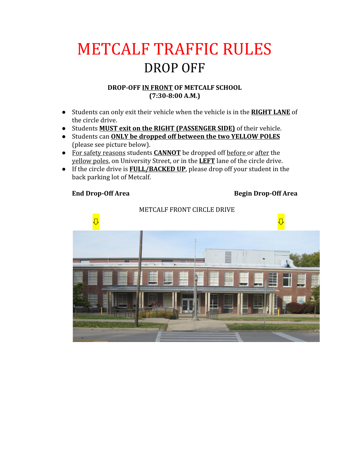## METCALF TRAFFIC RULES DROP OFF

#### **DROP-OFF IN FRONT OF METCALF SCHOOL (7:30-8:00 A.M.)**

- Students can only exit their vehicle when the vehicle is in the **RIGHT LANE** of the circle drive.
- Students **MUST exit on the RIGHT (PASSENGER SIDE)** of their vehicle.
- Students can **ONLY be dropped off between the two YELLOW POLES** (please see picture below).
- For safety reasons students **CANNOT** be dropped off before or after the yellow poles, on University Street, or in the **LEFT** lane of the circle drive.
- If the circle drive is **FULL/BACKED UP**, please drop off your student in the back parking lot of Metcalf.

### **End Drop-Off Area Begin Drop-Off Area**

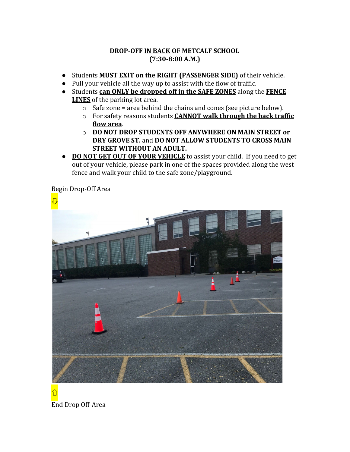#### **DROP-OFF IN BACK OF METCALF SCHOOL (7:30-8:00 A.M.)**

- Students **MUST EXIT on the RIGHT (PASSENGER SIDE)** of their vehicle.
- Pull your vehicle all the way up to assist with the flow of traffic.
- Students **can ONLY be dropped off in the SAFE ZONES** along the **FENCE LINES** of the parking lot area.
	- $\circ$  Safe zone = area behind the chains and cones (see picture below).
	- o For safety reasons students **CANNOT walk through the back traffic flow area**.
	- o **DO NOT DROP STUDENTS OFF ANYWHERE ON MAIN STREET or DRY GROVE ST.** and **DO NOT ALLOW STUDENTS TO CROSS MAIN STREET WITHOUT AN ADULT.**
- **DONOT GET OUT OF YOUR VEHICLE** to assist your child. If you need to get out of your vehicle, please park in one of the spaces provided along the west fence and walk your child to the safe zone/playground.

Begin Drop-Off Area

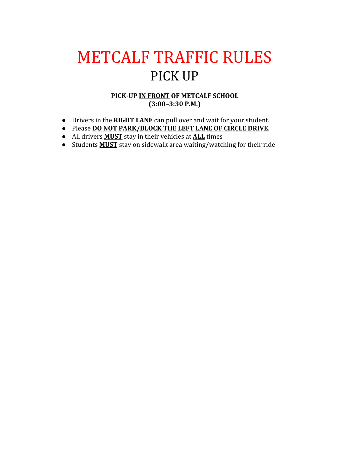# METCALF TRAFFIC RULES PICK UP

#### **PICK-UP IN FRONT OF METCALF SCHOOL (3:00–3:30 P.M.)**

- **●** Drivers in the **RIGHT LANE** can pull over and wait for your student.
- **●** Please **DO NOT PARK/BLOCK THE LEFT LANE OF CIRCLE DRIVE**.
- **●** All drivers **MUST** stay in their vehicles at **ALL** times
- **●** Students **MUST** stay on sidewalk area waiting/watching for their ride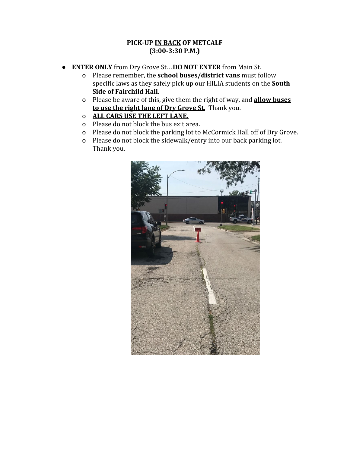#### **PICK-UP IN BACK OF METCALF (3:00-3:30 P.M.)**

- **ENTER ONLY** from Dry Grove St…**DO NOT ENTER** from Main St.
	- o Please remember, the **school buses/district vans** must follow specific laws as they safely pick up our HILIA students on the **South Side of Fairchild Hall**.
	- o Please be aware of this, give them the right of way, and **allow buses to use the right lane of Dry Grove St.** Thank you.
	- o **ALL CARS USE THE LEFT LANE.**
	- o Please do not block the bus exit area.
	- o Please do not block the parking lot to McCormick Hall off of Dry Grove.
	- o Please do not block the sidewalk/entry into our back parking lot. Thank you.